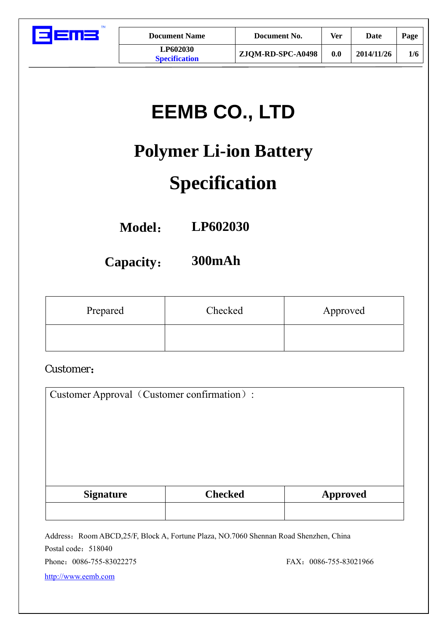

| <b>Document Name</b>                    | Document No.      | Ver | Date       | Page |
|-----------------------------------------|-------------------|-----|------------|------|
| <b>LP602030</b><br><b>Specification</b> | ZJQM-RD-SPC-A0498 | 0.0 | 2014/11/26 | 1/6  |

# **EEMB CO., LTD**

# **Polymer Li-ion Battery**

# **Specification**

**Model**: **LP602030** 

**Capacity**: **300mAh** 

| Prepared | Checked | Approved |
|----------|---------|----------|
|          |         |          |

#### Customer:

| Customer Approval (Customer confirmation): |                |                 |  |  |  |
|--------------------------------------------|----------------|-----------------|--|--|--|
|                                            |                |                 |  |  |  |
|                                            |                |                 |  |  |  |
|                                            |                |                 |  |  |  |
|                                            |                |                 |  |  |  |
| <b>Signature</b>                           | <b>Checked</b> | <b>Approved</b> |  |  |  |
|                                            |                |                 |  |  |  |
|                                            |                |                 |  |  |  |

Address: Room ABCD,25/F, Block A, Fortune Plaza, NO.7060 Shennan Road Shenzhen, China Postal code: 518040 Phone: 0086-755-83022275 FAX: 0086-755-83021966 http://www.eemb.com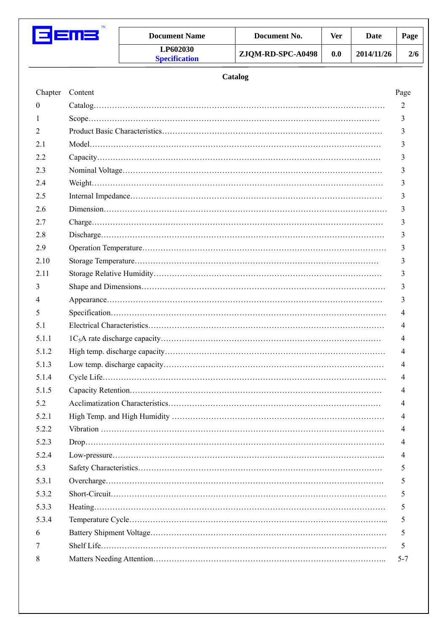

| TМ | <b>Document Name</b>                    | Document No.      | <b>Ver</b> | Date       | Page |
|----|-----------------------------------------|-------------------|------------|------------|------|
|    | <b>LP602030</b><br><b>Specification</b> | ZJQM-RD-SPC-A0498 | 0.0        | 2014/11/26 | 2/6  |

| Chapter  | Content | Page |
|----------|---------|------|
| $\theta$ |         |      |
| 1        |         |      |
| 2        |         |      |
| 2.1      |         |      |
| 2.2      |         |      |
| 2.3      |         |      |
| 2.4      |         |      |
| 2.5      |         |      |
| 2.6      |         |      |
| 2.7      |         |      |
| 2.8      |         |      |
| 2.9      |         |      |
| 2.10     |         |      |
| 2.11     |         |      |
| 3        |         |      |
| 4        |         |      |
| 5        |         |      |
| 5.1      |         |      |
| 5.1.1    |         |      |
| 5.1.2    |         |      |
| 5.1.3    |         |      |
| 5.1.4    |         |      |
| 5.1.5    |         |      |
| 5.2      |         |      |
| 5.2.1    |         |      |
| 5.2.2    |         |      |
| 5.2.3    |         |      |
| 5.2.4    |         |      |
| 5.3      |         |      |
| 5.3.1    |         |      |
| 5.3.2    |         |      |
| 5.3.3    |         |      |
| 5.3.4    |         |      |
| 6        |         |      |
| 7        |         |      |
| 8        |         |      |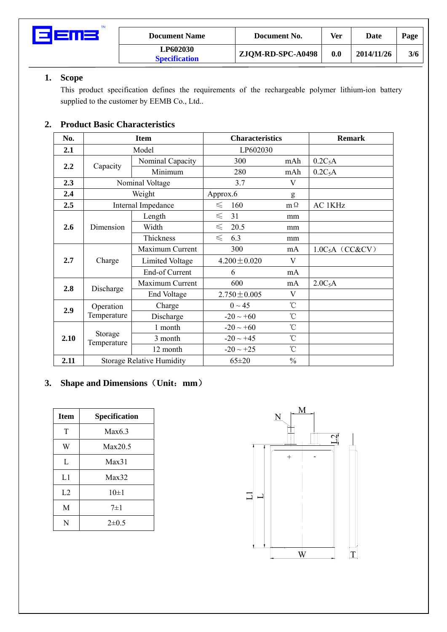

| <b>Document Name</b>             | Document No.      | Ver | Date       | Page |
|----------------------------------|-------------------|-----|------------|------|
| LP602030<br><b>Specification</b> | ZJQM-RD-SPC-A0498 | 0.0 | 2014/11/26 | 3/6  |

#### **1. Scope**

This product specification defines the requirements of the rechargeable polymer lithium-ion battery supplied to the customer by EEMB Co., Ltd..

#### **2. Product Basic Characteristics**

| No.  |                                  | <b>Item</b>            | <b>Characteristics</b> |                 | <b>Remark</b>       |
|------|----------------------------------|------------------------|------------------------|-----------------|---------------------|
| 2.1  |                                  | Model                  |                        | LP602030        |                     |
| 2.2  | Capacity                         | Nominal Capacity       | 300                    | mAh             | $0.2C_5A$           |
|      |                                  | Minimum                | 280                    | mAh             | $0.2C_5A$           |
| 2.3  |                                  | Nominal Voltage        | 3.7                    | V               |                     |
| 2.4  |                                  | Weight                 | Approx.6               | g               |                     |
| 2.5  |                                  | Internal Impedance     | $\leq$<br>160          | $m \Omega$      | AC 1KHz             |
|      |                                  | Length                 | $\leq$<br>31           | mm              |                     |
| 2.6  | Dimension                        | Width                  | $\leq$<br>20.5         | mm              |                     |
|      |                                  | Thickness              | $\leq$<br>6.3          | mm              |                     |
|      | Charge                           | Maximum Current        | 300                    | mA              | $1.0C_5A$ (CC&CV)   |
| 2.7  |                                  | <b>Limited Voltage</b> | $4.200 \pm 0.020$      | V               |                     |
|      |                                  | End-of Current         | 6                      | mA              |                     |
| 2.8  | Discharge                        | Maximum Current        | 600                    | mA              | 2.0C <sub>5</sub> A |
|      |                                  | End Voltage            | $2.750 \pm 0.005$      | V               |                     |
| 2.9  | Operation                        | Charge                 | $0 \sim 45$            | $\rm ^{\circ}C$ |                     |
|      | Temperature                      | Discharge              | $-20 \sim +60$         | $^{\circ}$ C    |                     |
|      |                                  | 1 month                | $-20 \sim +60$         | $^{\circ}$ C    |                     |
| 2.10 | Storage<br>Temperature           | 3 month                | $-20 \sim +45$         | $^{\circ}$ C    |                     |
|      |                                  | 12 month               | $-20 \sim +25$         | $^{\circ}$ C    |                     |
| 2.11 | <b>Storage Relative Humidity</b> |                        | $65 \pm 20$            | $\frac{0}{0}$   |                     |

#### **3. Shape and Dimensions**(**Unit**:**mm**)

| Item      | Specification |
|-----------|---------------|
| T         | Max6.3        |
| W         | Max20.5       |
| L         | Max31         |
| L1        | Max32         |
| L2        | $10\pm1$      |
| M         | $7\pm1$       |
| ${\bf N}$ | $2 + 0.5$     |

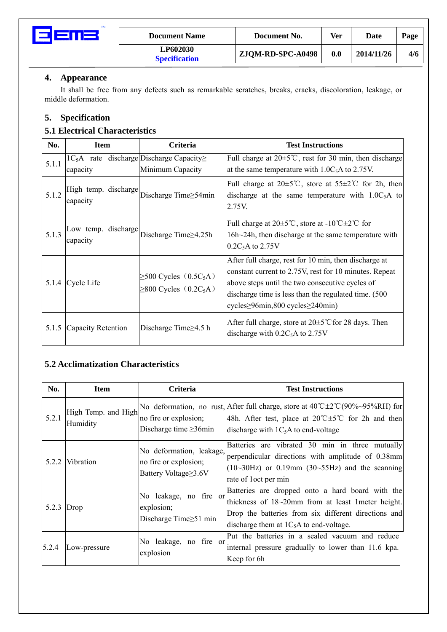

#### **4. Appearance**

It shall be free from any defects such as remarkable scratches, breaks, cracks, discoloration, leakage, or middle deformation.

#### **5. Specification**

#### **5.1 Electrical Characteristics**

| No.   | <b>Item</b>                                                  | Criteria                                                                           | <b>Test Instructions</b>                                                                                                                                                                                                                                                     |
|-------|--------------------------------------------------------------|------------------------------------------------------------------------------------|------------------------------------------------------------------------------------------------------------------------------------------------------------------------------------------------------------------------------------------------------------------------------|
| 5.1.1 | $1C_5A$ rate discharge Discharge Capacity $\geq$<br>capacity | Minimum Capacity                                                                   | Full charge at $20\pm 5^{\circ}$ C, rest for 30 min, then discharge<br>at the same temperature with $1.0C_5A$ to 2.75V.                                                                                                                                                      |
| 5.1.2 | High temp. discharge<br>capacity                             | Discharge Time  s4min                                                              | Full charge at $20\pm 5^{\circ}$ C, store at $55\pm 2^{\circ}$ C for 2h, then<br>discharge at the same temperature with $1.0C_5A$ to<br>2.75V.                                                                                                                               |
| 5.1.3 | Low temp. discharge<br>capacity                              | Discharge Time  set 25h                                                            | Full charge at $20 \pm 5^{\circ}$ C, store at -10 <sup>°</sup> C $\pm 2^{\circ}$ C for<br>16h~24h, then discharge at the same temperature with<br>0.2C <sub>5</sub> A to 2.75V                                                                                               |
|       | 5.1.4 Cycle Life                                             | $\geq$ 500 Cycles (0.5C <sub>5</sub> A)<br>$\geq$ 800 Cycles (0.2C <sub>5</sub> A) | After full charge, rest for 10 min, then discharge at<br>constant current to 2.75V, rest for 10 minutes. Repeat<br>above steps until the two consecutive cycles of<br>discharge time is less than the regulated time. (500)<br>cycles $\geq$ 96min,800 cycles $\geq$ 240min) |
| 5.1.5 | Capacity Retention                                           | Discharge Time≥4.5 h                                                               | After full charge, store at $20 \pm 5^{\circ}$ C for 28 days. Then<br>discharge with $0.2C_5$ A to 2.75V                                                                                                                                                                     |

#### **5.2 Acclimatization Characteristics**

| No.                | <b>Item</b>                     | <b>Criteria</b>                                                           | <b>Test Instructions</b>                                                                                                                                                                                                     |
|--------------------|---------------------------------|---------------------------------------------------------------------------|------------------------------------------------------------------------------------------------------------------------------------------------------------------------------------------------------------------------------|
| 5.2.1              | High Temp. and High<br>Humidity | no fire or explosion;<br>Discharge time $\geq$ 36min                      | No deformation, no rust, After full charge, store at $40^{\circ}C\pm2^{\circ}C(90\% \sim 95\%RH)$ for<br>48h. After test, place at $20^{\circ}$ C $\pm 5^{\circ}$ C for 2h and then<br>discharge with $1C_5A$ to end-voltage |
|                    | 5.2.2 Vibration                 | No deformation, leakage,<br>no fire or explosion;<br>Battery Voltage≥3.6V | Batteries are vibrated 30 min in three mutually<br>perpendicular directions with amplitude of 0.38mm<br>$(10~30~Hz)$ or 0.19mm (30~55Hz) and the scanning<br>rate of loct per min                                            |
| 5.2.3 $\vert$ Drop |                                 | No leakage, no fire or<br>explosion;<br>Discharge Time $\geq 51$ min      | Batteries are dropped onto a hard board with the<br>thickness of 18~20mm from at least 1meter height.<br>Drop the batteries from six different directions and<br>discharge them at $1C_5A$ to end-voltage.                   |
| 5.2.4              | Low-pressure                    | No leakage, no fire or<br>explosion                                       | Put the batteries in a sealed vacuum and reduce<br>internal pressure gradually to lower than 11.6 kpa.<br>Keep for 6h                                                                                                        |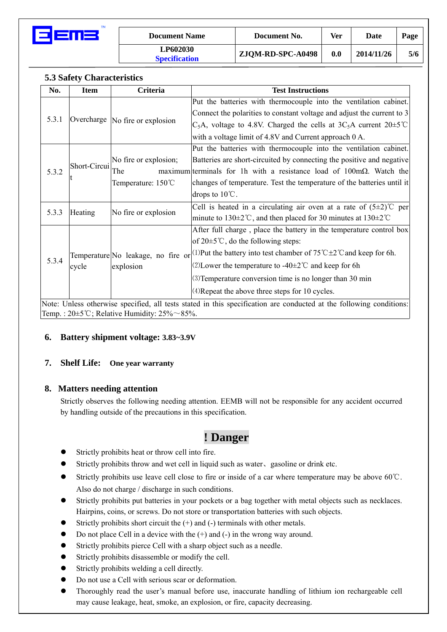

| <b>Document Name</b>             | Document No.      | Ver | Date       | Page |
|----------------------------------|-------------------|-----|------------|------|
| LP602030<br><b>Specification</b> | ZJQM-RD-SPC-A0498 | 0.0 | 2014/11/26 | 5/6  |

#### **5.3 Safety Characteristics**

| No.   | <b>Item</b>                                                                                                         | Criteria                           | <b>Test Instructions</b>                                                                      |  |  |
|-------|---------------------------------------------------------------------------------------------------------------------|------------------------------------|-----------------------------------------------------------------------------------------------|--|--|
|       |                                                                                                                     |                                    | Put the batteries with thermocouple into the ventilation cabinet.                             |  |  |
|       |                                                                                                                     |                                    | Connect the polarities to constant voltage and adjust the current to 3                        |  |  |
| 5.3.1 |                                                                                                                     | Overcharge  No fire or explosion   | $C_5A$ , voltage to 4.8V. Charged the cells at 3C <sub>5</sub> A current 20 $\pm$ 5°C         |  |  |
|       |                                                                                                                     |                                    | with a voltage limit of 4.8V and Current approach 0 A.                                        |  |  |
|       |                                                                                                                     |                                    | Put the batteries with thermocouple into the ventilation cabinet.                             |  |  |
|       |                                                                                                                     | No fire or explosion;              | Batteries are short-circuited by connecting the positive and negative                         |  |  |
| 5.3.2 | Short-Circui                                                                                                        | The                                | maximum terminals for 1h with a resistance load of 100m $\Omega$ . Watch the                  |  |  |
|       |                                                                                                                     | Temperature: 150°C                 | changes of temperature. Test the temperature of the batteries until it                        |  |  |
|       |                                                                                                                     |                                    | drops to $10^{\circ}$ C.                                                                      |  |  |
|       |                                                                                                                     |                                    | Cell is heated in a circulating air oven at a rate of $(5\pm2)$ °C per                        |  |  |
| 5.3.3 | Heating                                                                                                             | No fire or explosion               | minute to 130 $\pm$ 2°C, and then placed for 30 minutes at 130 $\pm$ 2°C                      |  |  |
|       |                                                                                                                     |                                    | After full charge, place the battery in the temperature control box                           |  |  |
|       |                                                                                                                     |                                    | of $20 \pm 5^{\circ}$ C, do the following steps:                                              |  |  |
|       |                                                                                                                     | Temperature No leakage, no fire or | (1) Put the battery into test chamber of $75^{\circ}$ C $\pm$ 2 $^{\circ}$ C and keep for 6h. |  |  |
| 5.3.4 | cycle                                                                                                               | explosion                          | (2) Lower the temperature to $-40\pm2$ °C and keep for 6h                                     |  |  |
|       |                                                                                                                     |                                    | (3) Temperature conversion time is no longer than 30 min                                      |  |  |
|       |                                                                                                                     |                                    | (4) Repeat the above three steps for 10 cycles.                                               |  |  |
|       | Note: Unless otherwise specified, all tests stated in this specification are conducted at the following conditions: |                                    |                                                                                               |  |  |
|       | Temp.: $20 \pm 5^{\circ}$ C; Relative Humidity: $25\% \sim 85\%$ .                                                  |                                    |                                                                                               |  |  |

#### **6. Battery shipment voltage: 3.83~3.9V**

#### **7. Shelf Life: One year warranty**

#### **8. Matters needing attention**

Strictly observes the following needing attention. EEMB will not be responsible for any accident occurred by handling outside of the precautions in this specification.

### **! Danger**

- Strictly prohibits heat or throw cell into fire.
- Strictly prohibits throw and wet cell in liquid such as water, gasoline or drink etc.
- Strictly prohibits use leave cell close to fire or inside of a car where temperature may be above 60° $\mathbb{C}$ . Also do not charge / discharge in such conditions.
- Strictly prohibits put batteries in your pockets or a bag together with metal objects such as necklaces. Hairpins, coins, or screws. Do not store or transportation batteries with such objects.
- Strictly prohibits short circuit the  $(+)$  and  $(-)$  terminals with other metals.
- Do not place Cell in a device with the  $(+)$  and  $(-)$  in the wrong way around.
- Strictly prohibits pierce Cell with a sharp object such as a needle.
- Strictly prohibits disassemble or modify the cell.
- Strictly prohibits welding a cell directly.
- Do not use a Cell with serious scar or deformation.
- z Thoroughly read the user's manual before use, inaccurate handling of lithium ion rechargeable cell may cause leakage, heat, smoke, an explosion, or fire, capacity decreasing.